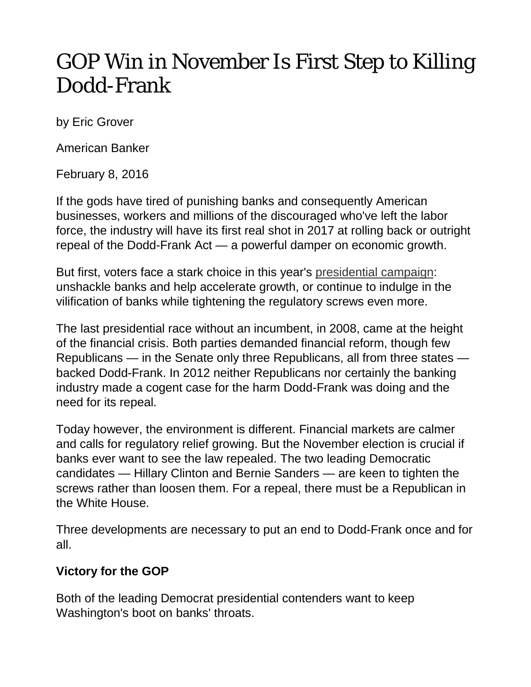## GOP Win in November Is First Step to Killing Dodd-Frank

by Eric Grover

American Banker

February 8, 2016

If the gods have tired of punishing banks and consequently American businesses, workers and millions of the discouraged who've left the labor force, the industry will have its first real shot in 2017 at rolling back or outright repeal of the Dodd-Frank Act — a powerful damper on economic growth.

But first, voters face a stark choice in this year's [presidential campaign:](http://www.americanbanker.com/meet-the-candidates/) unshackle banks and help accelerate growth, or continue to indulge in the vilification of banks while tightening the regulatory screws even more.

The last presidential race without an incumbent, in 2008, came at the height of the financial crisis. Both parties demanded financial reform, though few Republicans — in the Senate only three Republicans, all from three states backed Dodd-Frank. In 2012 neither Republicans nor certainly the banking industry made a cogent case for the harm Dodd-Frank was doing and the need for its repeal.

Today however, the environment is different. Financial markets are calmer and calls for regulatory relief growing. But the November election is crucial if banks ever want to see the law repealed. The two leading Democratic candidates — Hillary Clinton and Bernie Sanders — are keen to tighten the screws rather than loosen them. For a repeal, there must be a Republican in the White House.

Three developments are necessary to put an end to Dodd-Frank once and for all.

## **Victory for the GOP**

Both of the leading Democrat presidential contenders want to keep Washington's boot on banks' throats.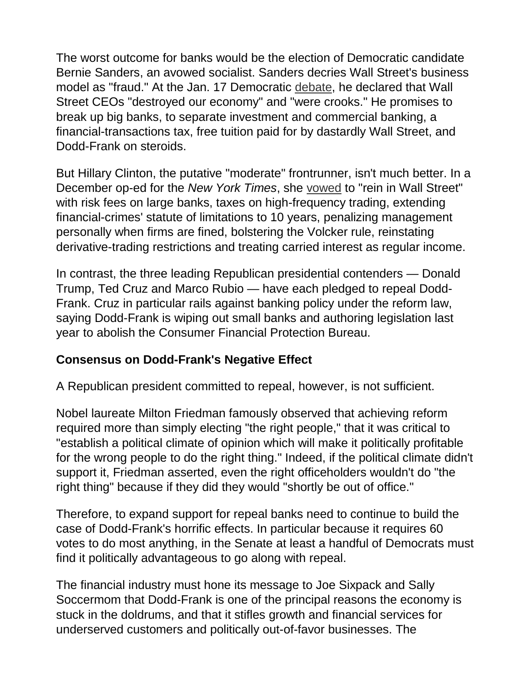The worst outcome for banks would be the election of Democratic candidate Bernie Sanders, an avowed socialist. Sanders decries Wall Street's business model as "fraud." At the Jan. 17 Democratic [debate,](http://www.americanbanker.com/news/law-regulation/dem-presidential-candidates-vow-to-go-beyond-dodd-frank-1078874-1.html) he declared that Wall Street CEOs "destroyed our economy" and "were crooks." He promises to break up big banks, to separate investment and commercial banking, a financial-transactions tax, free tuition paid for by dastardly Wall Street, and Dodd-Frank on steroids.

But Hillary Clinton, the putative "moderate" frontrunner, isn't much better. In a December op-ed for the *New York Times*, she [vowed](http://www.nytimes.com/2015/12/07/opinion/hillary-clinton-how-id-rein-in-wall-street.html?_r=0) to "rein in Wall Street" with risk fees on large banks, taxes on high-frequency trading, extending financial-crimes' statute of limitations to 10 years, penalizing management personally when firms are fined, bolstering the Volcker rule, reinstating derivative-trading restrictions and treating carried interest as regular income.

In contrast, the three leading Republican presidential contenders — Donald Trump, Ted Cruz and Marco Rubio — have each pledged to repeal Dodd-Frank. Cruz in particular rails against banking policy under the reform law, saying Dodd-Frank is wiping out small banks and authoring legislation last year to abolish the Consumer Financial Protection Bureau.

## **Consensus on Dodd-Frank's Negative Effect**

A Republican president committed to repeal, however, is not sufficient.

Nobel laureate Milton Friedman famously observed that achieving reform required more than simply electing "the right people," that it was critical to "establish a political climate of opinion which will make it politically profitable for the wrong people to do the right thing." Indeed, if the political climate didn't support it, Friedman asserted, even the right officeholders wouldn't do "the right thing" because if they did they would "shortly be out of office."

Therefore, to expand support for repeal banks need to continue to build the case of Dodd-Frank's horrific effects. In particular because it requires 60 votes to do most anything, in the Senate at least a handful of Democrats must find it politically advantageous to go along with repeal.

The financial industry must hone its message to Joe Sixpack and Sally Soccermom that Dodd-Frank is one of the principal reasons the economy is stuck in the doldrums, and that it stifles growth and financial services for underserved customers and politically out-of-favor businesses. The